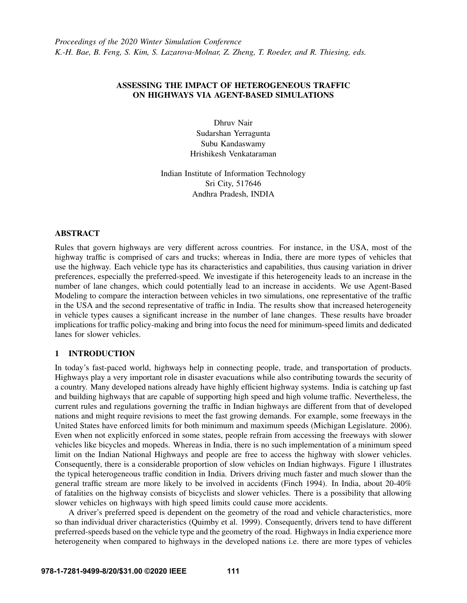# ASSESSING THE IMPACT OF HETEROGENEOUS TRAFFIC ON HIGHWAYS VIA AGENT-BASED SIMULATIONS

Dhruv Nair Sudarshan Yerragunta Subu Kandaswamy Hrishikesh Venkataraman

Indian Institute of Information Technology Sri City, 517646 Andhra Pradesh, INDIA

# ABSTRACT

Rules that govern highways are very different across countries. For instance, in the USA, most of the highway traffic is comprised of cars and trucks; whereas in India, there are more types of vehicles that use the highway. Each vehicle type has its characteristics and capabilities, thus causing variation in driver preferences, especially the preferred-speed. We investigate if this heterogeneity leads to an increase in the number of lane changes, which could potentially lead to an increase in accidents. We use Agent-Based Modeling to compare the interaction between vehicles in two simulations, one representative of the traffic in the USA and the second representative of traffic in India. The results show that increased heterogeneity in vehicle types causes a significant increase in the number of lane changes. These results have broader implications for traffic policy-making and bring into focus the need for minimum-speed limits and dedicated lanes for slower vehicles.

# 1 INTRODUCTION

In today's fast-paced world, highways help in connecting people, trade, and transportation of products. Highways play a very important role in disaster evacuations while also contributing towards the security of a country. Many developed nations already have highly efficient highway systems. India is catching up fast and building highways that are capable of supporting high speed and high volume traffic. Nevertheless, the current rules and regulations governing the traffic in Indian highways are different from that of developed nations and might require revisions to meet the fast growing demands. For example, some freeways in the United States have enforced limits for both minimum and maximum speeds [\(Michigan Legislature. 2006\)](#page-10-0). Even when not explicitly enforced in some states, people refrain from accessing the freeways with slower vehicles like bicycles and mopeds. Whereas in India, there is no such implementation of a minimum speed limit on the Indian National Highways and people are free to access the highway with slower vehicles. Consequently, there is a considerable proportion of slow vehicles on Indian highways. Figure [1](#page-1-0) illustrates the typical heterogeneous traffic condition in India. Drivers driving much faster and much slower than the general traffic stream are more likely to be involved in accidents [\(Finch 1994\)](#page-10-1). In India, about 20-40% of fatalities on the highway consists of bicyclists and slower vehicles. There is a possibility that allowing slower vehicles on highways with high speed limits could cause more accidents.

A driver's preferred speed is dependent on the geometry of the road and vehicle characteristics, more so than individual driver characteristics [\(Quimby et al. 1999\)](#page-10-2). Consequently, drivers tend to have different preferred-speeds based on the vehicle type and the geometry of the road. Highways in India experience more heterogeneity when compared to highways in the developed nations i.e. there are more types of vehicles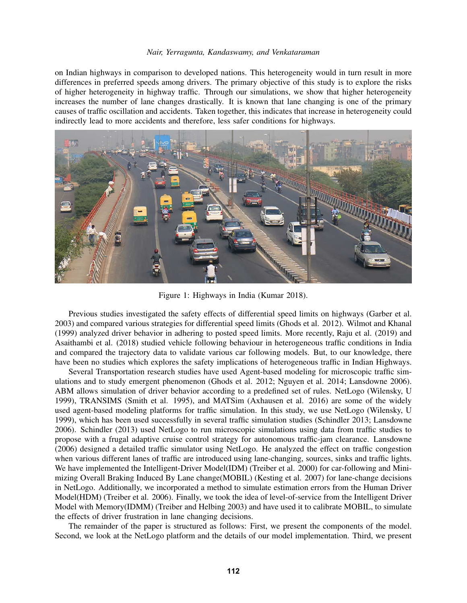on Indian highways in comparison to developed nations. This heterogeneity would in turn result in more differences in preferred speeds among drivers. The primary objective of this study is to explore the risks of higher heterogeneity in highway traffic. Through our simulations, we show that higher heterogeneity increases the number of lane changes drastically. It is known that lane changing is one of the primary causes of traffic oscillation and accidents. Taken together, this indicates that increase in heterogeneity could indirectly lead to more accidents and therefore, less safer conditions for highways.



Figure 1: Highways in India [\(Kumar 2018\)](#page-10-3).

<span id="page-1-0"></span>Previous studies investigated the safety effects of differential speed limits on highways [\(Garber et al.](#page-10-4) [2003\)](#page-10-4) and compared various strategies for differential speed limits [\(Ghods et al. 2012\)](#page-10-5). [Wilmot and Khanal](#page-11-0) [\(1999\)](#page-11-0) analyzed driver behavior in adhering to posted speed limits. More recently, [Raju et al. \(2019\)](#page-10-6) and [Asaithambi et al. \(2018\)](#page-10-7) studied vehicle following behaviour in heterogeneous traffic conditions in India and compared the trajectory data to validate various car following models. But, to our knowledge, there have been no studies which explores the safety implications of heterogeneous traffic in Indian Highways.

Several Transportation research studies have used Agent-based modeling for microscopic traffic simulations and to study emergent phenomenon [\(Ghods et al. 2012;](#page-10-5) [Nguyen et al. 2014;](#page-10-8) [Lansdowne 2006\)](#page-10-9). ABM allows simulation of driver behavior according to a predefined set of rules. NetLogo [\(Wilensky, U](#page-11-1) [1999\)](#page-11-1), TRANSIMS [\(Smith et al. 1995\)](#page-11-2), and MATSim [\(Axhausen et al. 2016\)](#page-10-10) are some of the widely used agent-based modeling platforms for traffic simulation. In this study, we use NetLogo [\(Wilensky, U](#page-11-1) [1999\)](#page-11-1), which has been used successfully in several traffic simulation studies [\(Schindler 2013;](#page-10-11) [Lansdowne](#page-10-9) [2006\)](#page-10-9). [Schindler \(2013\)](#page-10-11) used NetLogo to run microscopic simulations using data from traffic studies to propose with a frugal adaptive cruise control strategy for autonomous traffic-jam clearance. [Lansdowne](#page-10-9) [\(2006\)](#page-10-9) designed a detailed traffic simulator using NetLogo. He analyzed the effect on traffic congestion when various different lanes of traffic are introduced using lane-changing, sources, sinks and traffic lights. We have implemented the Intelligent-Driver Model(IDM) [\(Treiber et al. 2000\)](#page-11-3) for car-following and Minimizing Overall Braking Induced By Lane change(MOBIL) [\(Kesting et al. 2007\)](#page-10-12) for lane-change decisions in NetLogo. Additionally, we incorporated a method to simulate estimation errors from the Human Driver Model(HDM) [\(Treiber et al. 2006\)](#page-11-4). Finally, we took the idea of level-of-service from the Intelligent Driver Model with Memory(IDMM) [\(Treiber and Helbing 2003\)](#page-11-5) and have used it to calibrate MOBIL, to simulate the effects of driver frustration in lane changing decisions.

The remainder of the paper is structured as follows: First, we present the components of the model. Second, we look at the NetLogo platform and the details of our model implementation. Third, we present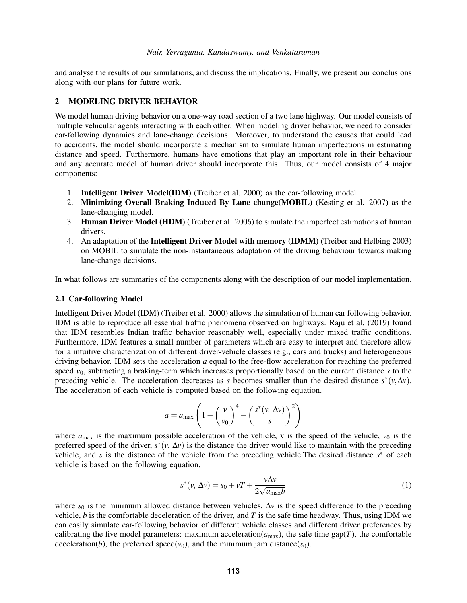and analyse the results of our simulations, and discuss the implications. Finally, we present our conclusions along with our plans for future work.

# 2 MODELING DRIVER BEHAVIOR

We model human driving behavior on a one-way road section of a two lane highway. Our model consists of multiple vehicular agents interacting with each other. When modeling driver behavior, we need to consider car-following dynamics and lane-change decisions. Moreover, to understand the causes that could lead to accidents, the model should incorporate a mechanism to simulate human imperfections in estimating distance and speed. Furthermore, humans have emotions that play an important role in their behaviour and any accurate model of human driver should incorporate this. Thus, our model consists of 4 major components:

- 1. Intelligent Driver Model(IDM) [\(Treiber et al. 2000\)](#page-11-3) as the car-following model.
- 2. Minimizing Overall Braking Induced By Lane change(MOBIL) [\(Kesting et al. 2007\)](#page-10-12) as the lane-changing model.
- 3. Human Driver Model (HDM) [\(Treiber et al. 2006\)](#page-11-4) to simulate the imperfect estimations of human drivers.
- 4. An adaptation of the **Intelligent Driver Model with memory (IDMM)** [\(Treiber and Helbing 2003\)](#page-11-5) on MOBIL to simulate the non-instantaneous adaptation of the driving behaviour towards making lane-change decisions.

In what follows are summaries of the components along with the description of our model implementation.

### 2.1 Car-following Model

Intelligent Driver Model (IDM) [\(Treiber et al. 2000\)](#page-11-3) allows the simulation of human car following behavior. IDM is able to reproduce all essential traffic phenomena observed on highways. [Raju et al. \(2019\)](#page-10-6) found that IDM resembles Indian traffic behavior reasonably well, especially under mixed traffic conditions. Furthermore, IDM features a small number of parameters which are easy to interpret and therefore allow for a intuitive characterization of different driver-vehicle classes (e.g., cars and trucks) and heterogeneous driving behavior. IDM sets the acceleration *a* equal to the free-flow acceleration for reaching the preferred speed  $v_0$ , subtracting a braking-term which increases proportionally based on the current distance *s* to the preceding vehicle. The acceleration decreases as *s* becomes smaller than the desired-distance  $s^*(v, \Delta v)$ . The acceleration of each vehicle is computed based on the following equation.

$$
a = a_{\max} \left( 1 - \left(\frac{v}{v_0}\right)^4 - \left(\frac{s^*(v, \Delta v)}{s}\right)^2 \right)
$$

where  $a_{\text{max}}$  is the maximum possible acceleration of the vehicle, *v* is the speed of the vehicle,  $v_0$  is the preferred speed of the driver,  $s^*(v, \Delta v)$  is the distance the driver would like to maintain with the preceding vehicle, and *s* is the distance of the vehicle from the preceding vehicle.The desired distance *s* <sup>∗</sup> of each vehicle is based on the following equation.

<span id="page-2-0"></span>
$$
s^*(v, \Delta v) = s_0 + vT + \frac{v\Delta v}{2\sqrt{a_{\text{max}}b}}
$$
 (1)

where  $s_0$  is the minimum allowed distance between vehicles,  $\Delta v$  is the speed difference to the preceding vehicle, *b* is the comfortable deceleration of the driver, and *T* is the safe time headway. Thus, using IDM we can easily simulate car-following behavior of different vehicle classes and different driver preferences by calibrating the five model parameters: maximum acceleration( $a_{\text{max}}$ ), the safe time gap(*T*), the comfortable deceleration(*b*), the preferred speed( $v_0$ ), and the minimum jam distance( $s_0$ ).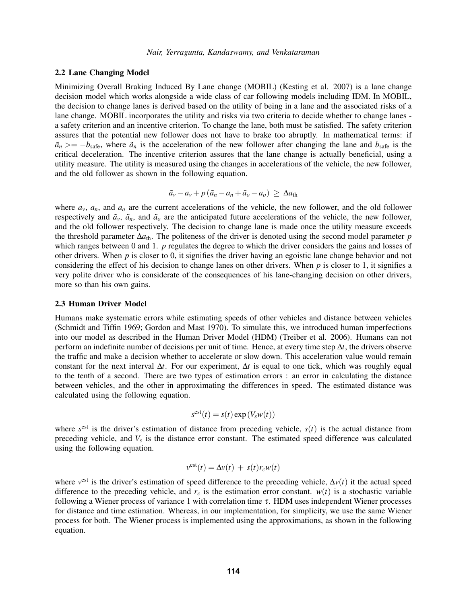### 2.2 Lane Changing Model

Minimizing Overall Braking Induced By Lane change (MOBIL) [\(Kesting et al. 2007\)](#page-10-12) is a lane change decision model which works alongside a wide class of car following models including IDM. In MOBIL, the decision to change lanes is derived based on the utility of being in a lane and the associated risks of a lane change. MOBIL incorporates the utility and risks via two criteria to decide whether to change lanes a safety criterion and an incentive criterion. To change the lane, both must be satisfied. The safety criterion assures that the potential new follower does not have to brake too abruptly. In mathematical terms: if  $\tilde{a}_n \ge -b_{\text{safe}}$ , where  $\tilde{a}_n$  is the acceleration of the new follower after changing the lane and  $b_{\text{safe}}$  is the critical deceleration. The incentive criterion assures that the lane change is actually beneficial, using a utility measure. The utility is measured using the changes in accelerations of the vehicle, the new follower, and the old follower as shown in the following equation.

$$
\tilde{a}_v - a_v + p(\tilde{a}_n - a_n + \tilde{a}_o - a_o) \geq \Delta a_{\text{th}}
$$

where  $a_v$ ,  $a_n$ , and  $a_o$  are the current accelerations of the vehicle, the new follower, and the old follower respectively and  $\tilde{a}_\nu$ ,  $\tilde{a}_n$ , and  $\tilde{a}_o$  are the anticipated future accelerations of the vehicle, the new follower, and the old follower respectively. The decision to change lane is made once the utility measure exceeds the threshold parameter ∆*a*th. The politeness of the driver is denoted using the second model parameter *p* which ranges between 0 and 1. *p* regulates the degree to which the driver considers the gains and losses of other drivers. When *p* is closer to 0, it signifies the driver having an egoistic lane change behavior and not considering the effect of his decision to change lanes on other drivers. When *p* is closer to 1, it signifies a very polite driver who is considerate of the consequences of his lane-changing decision on other drivers, more so than his own gains.

### 2.3 Human Driver Model

Humans make systematic errors while estimating speeds of other vehicles and distance between vehicles [\(Schmidt and Tiffin 1969;](#page-10-13) [Gordon and Mast 1970\)](#page-10-14). To simulate this, we introduced human imperfections into our model as described in the Human Driver Model (HDM) [\(Treiber et al. 2006\)](#page-11-4). Humans can not perform an indefinite number of decisions per unit of time. Hence, at every time step ∆*t*, the drivers observe the traffic and make a decision whether to accelerate or slow down. This acceleration value would remain constant for the next interval ∆*t*. For our experiment, ∆*t* is equal to one tick, which was roughly equal to the tenth of a second. There are two types of estimation errors : an error in calculating the distance between vehicles, and the other in approximating the differences in speed. The estimated distance was calculated using the following equation.

$$
s^{\text{est}}(t) = s(t) \exp(V_s w(t))
$$

where  $s^{\text{est}}$  is the driver's estimation of distance from preceding vehicle,  $s(t)$  is the actual distance from preceding vehicle, and *V<sup>s</sup>* is the distance error constant. The estimated speed difference was calculated using the following equation.

$$
v^{\text{est}}(t) = \Delta v(t) + s(t)r_c w(t)
$$

where  $v^{\text{est}}$  is the driver's estimation of speed difference to the preceding vehicle,  $\Delta v(t)$  it the actual speed difference to the preceding vehicle, and  $r_c$  is the estimation error constant.  $w(t)$  is a stochastic variable following a Wiener process of variance 1 with correlation time  $\tau$ . HDM uses independent Wiener processes for distance and time estimation. Whereas, in our implementation, for simplicity, we use the same Wiener process for both. The Wiener process is implemented using the approximations, as shown in the following equation.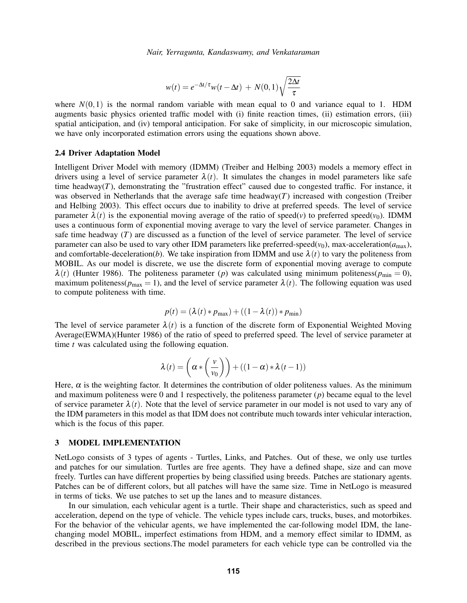$$
w(t) = e^{-\Delta t/\tau} w(t - \Delta t) + N(0, 1) \sqrt{\frac{2\Delta t}{\tau}}
$$

where  $N(0,1)$  is the normal random variable with mean equal to 0 and variance equal to 1. HDM augments basic physics oriented traffic model with (i) finite reaction times, (ii) estimation errors, (iii) spatial anticipation, and (iv) temporal anticipation. For sake of simplicity, in our microscopic simulation, we have only incorporated estimation errors using the equations shown above.

# 2.4 Driver Adaptation Model

Intelligent Driver Model with memory (IDMM) [\(Treiber and Helbing 2003\)](#page-11-5) models a memory effect in drivers using a level of service parameter  $\lambda(t)$ . It simulates the changes in model parameters like safe time headway $(T)$ , demonstrating the "frustration effect" caused due to congested traffic. For instance, it was observed in Netherlands that the average safe time headway $(T)$  increased with congestion [\(Treiber](#page-11-5) [and Helbing 2003\)](#page-11-5). This effect occurs due to inability to drive at preferred speeds. The level of service parameter  $\lambda(t)$  is the exponential moving average of the ratio of speed(*v*) to preferred speed(*v*<sub>0</sub>). IDMM uses a continuous form of exponential moving average to vary the level of service parameter. Changes in safe time headway (*T*) are discussed as a function of the level of service parameter. The level of service parameter can also be used to vary other IDM parameters like preferred-speed( $v_0$ ), max-acceleration( $a_{\text{max}}$ ), and comfortable-deceleration(*b*). We take inspiration from IDMM and use  $\lambda(t)$  to vary the politeness from MOBIL. As our model is discrete, we use the discrete form of exponential moving average to compute  $\lambda(t)$  [\(Hunter 1986\)](#page-10-15). The politeness parameter (*p*) was calculated using minimum politeness( $p_{\text{min}} = 0$ ), maximum politeness( $p_{\text{max}} = 1$ ), and the level of service parameter  $\lambda(t)$ . The following equation was used to compute politeness with time.

$$
p(t) = (\lambda(t) * p_{\max}) + ((1 - \lambda(t)) * p_{\min})
$$

The level of service parameter  $\lambda(t)$  is a function of the discrete form of Exponential Weighted Moving Average(EWMA)[\(Hunter 1986\)](#page-10-15) of the ratio of speed to preferred speed. The level of service parameter at time *t* was calculated using the following equation.

$$
\lambda(t) = \left(\alpha * \left(\frac{v}{v_0}\right)\right) + \left((1-\alpha) * \lambda(t-1)\right)
$$

Here,  $\alpha$  is the weighting factor. It determines the contribution of older politeness values. As the minimum and maximum politeness were 0 and 1 respectively, the politeness parameter (*p*) became equal to the level of service parameter  $\lambda(t)$ . Note that the level of service parameter in our model is not used to vary any of the IDM parameters in this model as that IDM does not contribute much towards inter vehicular interaction, which is the focus of this paper.

# 3 MODEL IMPLEMENTATION

NetLogo consists of 3 types of agents - Turtles, Links, and Patches. Out of these, we only use turtles and patches for our simulation. Turtles are free agents. They have a defined shape, size and can move freely. Turtles can have different properties by being classified using breeds. Patches are stationary agents. Patches can be of different colors, but all patches will have the same size. Time in NetLogo is measured in terms of ticks. We use patches to set up the lanes and to measure distances.

In our simulation, each vehicular agent is a turtle. Their shape and characteristics, such as speed and acceleration, depend on the type of vehicle. The vehicle types include cars, trucks, buses, and motorbikes. For the behavior of the vehicular agents, we have implemented the car-following model IDM, the lanechanging model MOBIL, imperfect estimations from HDM, and a memory effect similar to IDMM, as described in the previous sections.The model parameters for each vehicle type can be controlled via the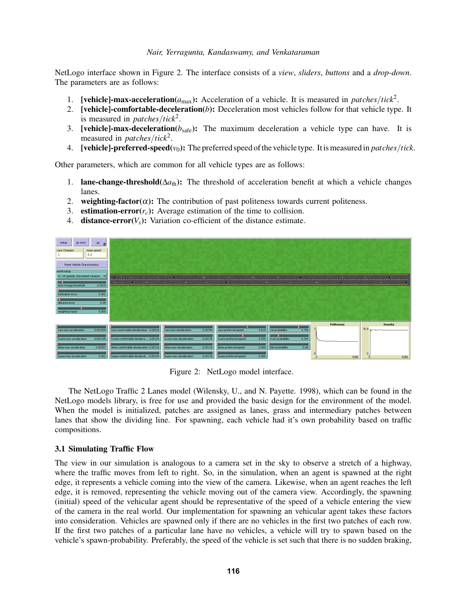NetLogo interface shown in Figure [2.](#page-5-0) The interface consists of a *view*, *sliders*, *buttons* and a *drop-down*. The parameters are as follows:

- 1. **[vehicle]-max-acceleration**( $a_{\text{max}}$ ): Acceleration of a vehicle. It is measured in *patches/tick*<sup>2</sup>.
- 2. [vehicle]-comfortable-deceleration(*b*): Deceleration most vehicles follow for that vehicle type. It is measured in *patches*/*tick*<sup>2</sup> .
- 3. **[vehicle]-max-deceleration**( $b_{\text{safe}}$ ): The maximum deceleration a vehicle type can have. It is measured in *patches*/*tick*<sup>2</sup> .
- 4. **[vehicle]-preferred-speed**( $v_0$ ): The preferred speed of the vehicle type. It is measured in *patches/tick*.

Other parameters, which are common for all vehicle types are as follows:

- 1. **lane-change-threshold**( $\Delta a_{\text{th}}$ ): The threshold of acceleration benefit at which a vehicle changes lanes.
- 2. weighting-factor( $\alpha$ ): The contribution of past politeness towards current politeness.
- 3. estimation-error $(r_c)$ : Average estimation of the time to collision.
- 4. **distance-error** $(V_s)$ : Variation co-efficient of the distance estimate.



<span id="page-5-0"></span>Figure 2: NetLogo model interface.

The NetLogo Traffic 2 Lanes model [\(Wilensky, U., and N. Payette. 1998\)](#page-11-6), which can be found in the NetLogo models library, is free for use and provided the basic design for the environment of the model. When the model is initialized, patches are assigned as lanes, grass and intermediary patches between lanes that show the dividing line. For spawning, each vehicle had it's own probability based on traffic compositions.

### 3.1 Simulating Traffic Flow

The view in our simulation is analogous to a camera set in the sky to observe a stretch of a highway, where the traffic moves from left to right. So, in the simulation, when an agent is spawned at the right edge, it represents a vehicle coming into the view of the camera. Likewise, when an agent reaches the left edge, it is removed, representing the vehicle moving out of the camera view. Accordingly, the spawning (initial) speed of the vehicular agent should be representative of the speed of a vehicle entering the view of the camera in the real world. Our implementation for spawning an vehicular agent takes these factors into consideration. Vehicles are spawned only if there are no vehicles in the first two patches of each row. If the first two patches of a particular lane have no vehicles, a vehicle will try to spawn based on the vehicle's spawn-probability. Preferably, the speed of the vehicle is set such that there is no sudden braking,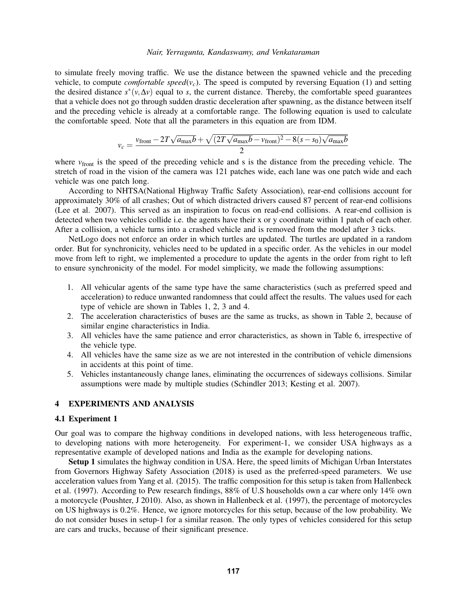to simulate freely moving traffic. We use the distance between the spawned vehicle and the preceding vehicle, to compute *comfortable speed*( $v_c$ ). The speed is computed by reversing Equation [\(1\)](#page-2-0) and setting the desired distance  $s^*(v, \Delta v)$  equal to *s*, the current distance. Thereby, the comfortable speed guarantees that a vehicle does not go through sudden drastic deceleration after spawning, as the distance between itself and the preceding vehicle is already at a comfortable range. The following equation is used to calculate the comfortable speed. Note that all the parameters in this equation are from IDM.

$$
v_c = \frac{v_{\text{front}} - 2T\sqrt{a_{\text{max}}b} + \sqrt{(2T\sqrt{a_{\text{max}}b} - v_{\text{front}})^2 - 8(s - s_0)\sqrt{a_{\text{max}}b}}}{2}
$$

where  $v_{front}$  is the speed of the preceding vehicle and s is the distance from the preceding vehicle. The stretch of road in the vision of the camera was 121 patches wide, each lane was one patch wide and each vehicle was one patch long.

According to NHTSA(National Highway Traffic Safety Association), rear-end collisions account for approximately 30% of all crashes; Out of which distracted drivers caused 87 percent of rear-end collisions [\(Lee et al. 2007\)](#page-10-16). This served as an inspiration to focus on read-end collisions. A rear-end collision is detected when two vehicles collide i.e. the agents have their x or y coordinate within 1 patch of each other. After a collision, a vehicle turns into a crashed vehicle and is removed from the model after 3 ticks.

NetLogo does not enforce an order in which turtles are updated. The turtles are updated in a random order. But for synchronicity, vehicles need to be updated in a specific order. As the vehicles in our model move from left to right, we implemented a procedure to update the agents in the order from right to left to ensure synchronicity of the model. For model simplicity, we made the following assumptions:

- 1. All vehicular agents of the same type have the same characteristics (such as preferred speed and acceleration) to reduce unwanted randomness that could affect the results. The values used for each type of vehicle are shown in Tables [1,](#page-7-0) [2,](#page-7-1) [3](#page-7-2) and [4.](#page-7-3)
- 2. The acceleration characteristics of buses are the same as trucks, as shown in Table [2,](#page-7-1) because of similar engine characteristics in India.
- 3. All vehicles have the same patience and error characteristics, as shown in Table [6,](#page-7-4) irrespective of the vehicle type.
- 4. All vehicles have the same size as we are not interested in the contribution of vehicle dimensions in accidents at this point of time.
- 5. Vehicles instantaneously change lanes, eliminating the occurrences of sideways collisions. Similar assumptions were made by multiple studies [\(Schindler 2013;](#page-10-11) [Kesting et al. 2007\)](#page-10-12).

# 4 EXPERIMENTS AND ANALYSIS

# 4.1 Experiment 1

Our goal was to compare the highway conditions in developed nations, with less heterogeneous traffic, to developing nations with more heterogeneity. For experiment-1, we consider USA highways as a representative example of developed nations and India as the example for developing nations.

Setup 1 simulates the highway condition in USA. Here, the speed limits of Michigan Urban Interstates from [Governors Highway Safety Association \(2018\)](#page-10-17) is used as the preferred-speed parameters. We use acceleration values from [Yang et al. \(2015\).](#page-11-7) The traffic composition for this setup is taken from [Hallenbeck](#page-10-18) [et al. \(1997\).](#page-10-18) According to Pew research findings, 88% of U.S households own a car where only 14% own a motorcycle [\(Poushter, J 2010\)](#page-10-19). Also, as shown in [Hallenbeck et al. \(1997\),](#page-10-18) the percentage of motorcycles on US highways is 0.2%. Hence, we ignore motorcycles for this setup, because of the low probability. We do not consider buses in setup-1 for a similar reason. The only types of vehicles considered for this setup are cars and trucks, because of their significant presence.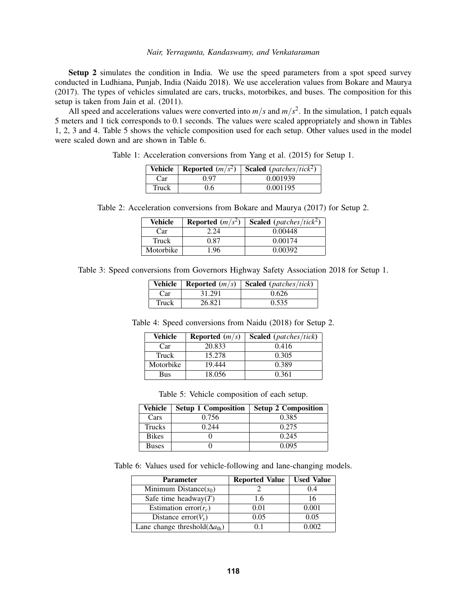Setup 2 simulates the condition in India. We use the speed parameters from a spot speed survey conducted in Ludhiana, Punjab, India [\(Naidu 2018\)](#page-10-20). We use acceleration values from [Bokare and Maurya](#page-10-21) [\(2017\).](#page-10-21) The types of vehicles simulated are cars, trucks, motorbikes, and buses. The composition for this setup is taken from [Jain et al. \(2011\).](#page-10-22)

All speed and accelerations values were converted into  $m/s$  and  $m/s<sup>2</sup>$ . In the simulation, 1 patch equals 5 meters and 1 tick corresponds to 0.1 seconds. The values were scaled appropriately and shown in Tables [1,](#page-7-0) [2,](#page-7-1) [3](#page-7-2) and [4.](#page-7-3) Table [5](#page-7-5) shows the vehicle composition used for each setup. Other values used in the model were scaled down and are shown in Table [6.](#page-7-4)

Table 1: Acceleration conversions from [Yang et al. \(2015\)](#page-11-7) for Setup 1.

<span id="page-7-0"></span>

| Vehicle |               | <b>Reported</b> $(m/s^2)$ <b>Scaled</b> (patches/tick <sup>2</sup> ) |
|---------|---------------|----------------------------------------------------------------------|
| Car     | 0.97          | 0.001939                                                             |
| Truck   | $0.6^{\circ}$ | 0.001195                                                             |

| Table 2: Acceleration conversions from Bokare and Maurya (2017) for Setup 2. |  |  |  |  |  |
|------------------------------------------------------------------------------|--|--|--|--|--|
|------------------------------------------------------------------------------|--|--|--|--|--|

<span id="page-7-1"></span>

| Vehicle   | <b>Reported</b> $(m/s^2)$ | <b>Scaled</b> ( <i>patches/tick</i> <sup>2</sup> ) |
|-----------|---------------------------|----------------------------------------------------|
| Car       | 2 24                      | 0.00448                                            |
| Truck     | 0.87                      | 0.00174                                            |
| Motorbike | 1.96                      | 0.00392                                            |

<span id="page-7-2"></span>Table 3: Speed conversions from [Governors Highway Safety Association 2018](#page-10-17) for Setup 1.

|       | Vehicle   Reported $(m/s)$ | <b>Scaled</b> ( <i>patches/tick</i> ) |
|-------|----------------------------|---------------------------------------|
| Car   | 31.291                     | 0.626                                 |
| Truck | 26.821                     | 0.535                                 |

| Table 4: Speed conversions from Naidu (2018) for Setup 2. |  |  |  |  |  |  |  |
|-----------------------------------------------------------|--|--|--|--|--|--|--|
|-----------------------------------------------------------|--|--|--|--|--|--|--|

<span id="page-7-3"></span>

| <b>Vehicle</b> | <b>Reported</b> $(m/s)$ | <b>Scaled</b> ( <i>patches/tick</i> ) |
|----------------|-------------------------|---------------------------------------|
| Car            | 20.833                  | 0.416                                 |
| Truck          | 15.278                  | 0.305                                 |
| Motorbike      | 19.444                  | 0.389                                 |
| Bus            | 18.056                  | 0.361                                 |

<span id="page-7-5"></span>Table 5: Vehicle composition of each setup.

| Vehicle      | <b>Setup 1 Composition</b> | <b>Setup 2 Composition</b> |
|--------------|----------------------------|----------------------------|
| Cars         | 0.756                      | 0.385                      |
| Trucks       | 0.244                      | 0.275                      |
| <b>Bikes</b> |                            | 0.245                      |
| <b>Buses</b> |                            | 0.095                      |

Table 6: Values used for vehicle-following and lane-changing models.

<span id="page-7-4"></span>

| <b>Parameter</b>                               | <b>Reported Value</b> | <b>Used Value</b> |
|------------------------------------------------|-----------------------|-------------------|
| Minimum Distance $(s_0)$                       |                       | 0.4               |
| Safe time headway $(T)$                        | 1.6                   |                   |
| Estimation error $(r_c)$                       | 0.01                  | 0.001             |
| Distance error $(V_s)$                         | 0.05                  | 0.05              |
| Lane change threshold $(\Delta a_{\text{th}})$ | () 1                  | 0.002             |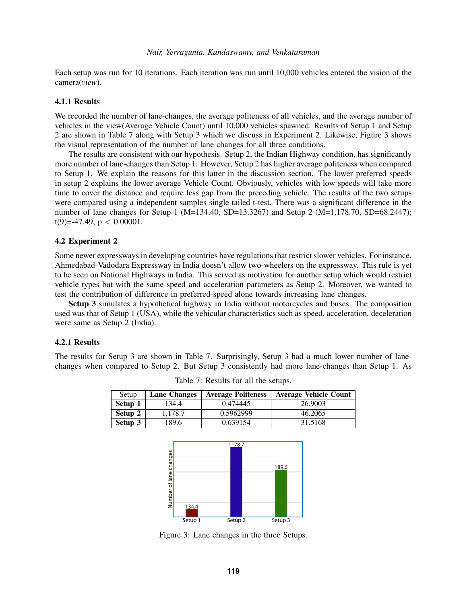Each setup was run for 10 iterations. Each iteration was run until 10,000 vehicles entered the vision of the camera(*view*).

### 4.1.1 Results

We recorded the number of lane-changes, the average politeness of all vehicles, and the average number of vehicles in the view(Average Vehicle Count) until 10,000 vehicles spawned. Results of Setup 1 and Setup 2 are shown in Table [7](#page-8-0) along with Setup 3 which we discuss in Experiment 2. Likewise, Figure [3](#page-8-1) shows the visual representation of the number of lane changes for all three conditions.

The results are consistent with our hypothesis. Setup 2, the Indian Highway condition, has significantly more number of lane-changes than Setup 1. However, Setup 2 has higher average politeness when compared to Setup 1. We explain the reasons for this latter in the discussion section. The lower preferred speeds in setup 2 explains the lower average Vehicle Count. Obviously, vehicles with low speeds will take more time to cover the distance and require less gap from the preceding vehicle. The results of the two setups were compared using a independent samples single tailed t-test. There was a significant difference in the number of lane changes for Setup 1 (M=134.40, SD=13.3267) and Setup 2 (M=1,178.70, SD=68.2447); t(9)=-47.49,  $p < 0.00001$ .

#### 4.2 Experiment 2

Some newer expressways in developing countries have regulations that restrict slower vehicles. For instance, Ahmedabad-Vadodara Expressway in India doesn't allow two-wheelers on the expressway. This rule is yet to be seen on National Highways in India. This served as motivation for another setup which would restrict vehicle types but with the same speed and acceleration parameters as Setup 2. Moreover, we wanted to test the contribution of difference in preferred-speed alone towards increasing lane changes.

Setup 3 simulates a hypothetical highway in India without motorcycles and buses. The composition used was that of Setup 1 (USA), while the vehicular characteristics such as speed, acceleration, deceleration were same as Setup 2 (India).

# 4.2.1 Results

The results for Setup 3 are shown in Table [7.](#page-8-0) Surprisingly, Setup 3 had a much lower number of lanechanges when compared to Setup 2. But Setup 3 consistently had more lane-changes than Setup 1. As

| Setup   | <b>Lane Changes</b> | <b>Average Politeness</b> | <b>Average Vehicle Count</b> |
|---------|---------------------|---------------------------|------------------------------|
| Setup 1 | 134.4               | 0.474445                  | 26.9003                      |
| Setup 2 | 1.178.7             | 0.5962999                 | 46.2065                      |
| Setup 3 | 189.6               | 0.639154                  | 31.5168                      |

<span id="page-8-0"></span>Table 7: Results for all the setups.



<span id="page-8-1"></span>Figure 3: Lane changes in the three Setups.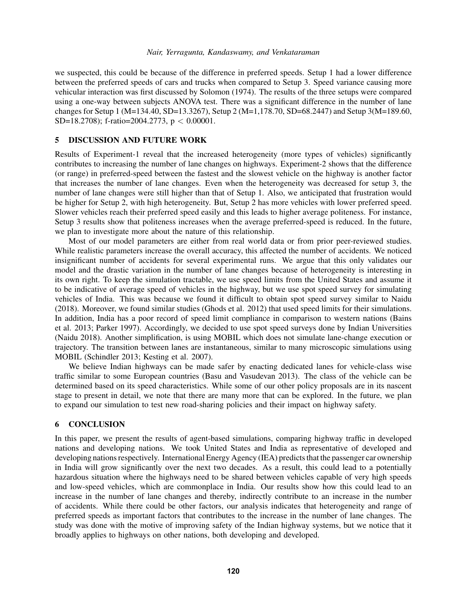we suspected, this could be because of the difference in preferred speeds. Setup 1 had a lower difference between the preferred speeds of cars and trucks when compared to Setup 3. Speed variance causing more vehicular interaction was first discussed by [Solomon \(1974\).](#page-11-8) The results of the three setups were compared using a one-way between subjects ANOVA test. There was a significant difference in the number of lane changes for Setup 1 (M=134.40, SD=13.3267), Setup 2 (M=1,178.70, SD=68.2447) and Setup 3(M=189.60, SD=18.2708); f-ratio=2004.2773, p < 0.00001.

# 5 DISCUSSION AND FUTURE WORK

Results of Experiment-1 reveal that the increased heterogeneity (more types of vehicles) significantly contributes to increasing the number of lane changes on highways. Experiment-2 shows that the difference (or range) in preferred-speed between the fastest and the slowest vehicle on the highway is another factor that increases the number of lane changes. Even when the heterogeneity was decreased for setup 3, the number of lane changes were still higher than that of Setup 1. Also, we anticipated that frustration would be higher for Setup 2, with high heterogeneity. But, Setup 2 has more vehicles with lower preferred speed. Slower vehicles reach their preferred speed easily and this leads to higher average politeness. For instance, Setup 3 results show that politeness increases when the average preferred-speed is reduced. In the future, we plan to investigate more about the nature of this relationship.

Most of our model parameters are either from real world data or from prior peer-reviewed studies. While realistic parameters increase the overall accuracy, this affected the number of accidents. We noticed insignificant number of accidents for several experimental runs. We argue that this only validates our model and the drastic variation in the number of lane changes because of heterogeneity is interesting in its own right. To keep the simulation tractable, we use speed limits from the United States and assume it to be indicative of average speed of vehicles in the highway, but we use spot speed survey for simulating vehicles of India. This was because we found it difficult to obtain spot speed survey similar to [Naidu](#page-10-20) [\(2018\).](#page-10-20) Moreover, we found similar studies [\(Ghods et al. 2012\)](#page-10-5) that used speed limits for their simulations. In addition, India has a poor record of speed limit compliance in comparison to western nations [\(Bains](#page-10-23) [et al. 2013;](#page-10-23) [Parker 1997\)](#page-10-24). Accordingly, we decided to use spot speed surveys done by Indian Universities [\(Naidu 2018\)](#page-10-20). Another simplification, is using MOBIL which does not simulate lane-change execution or trajectory. The transition between lanes are instantaneous, similar to many microscopic simulations using MOBIL [\(Schindler 2013;](#page-10-11) [Kesting et al. 2007\)](#page-10-12).

We believe Indian highways can be made safer by enacting dedicated lanes for vehicle-class wise traffic similar to some European countries [\(Basu and Vasudevan 2013\)](#page-10-25). The class of the vehicle can be determined based on its speed characteristics. While some of our other policy proposals are in its nascent stage to present in detail, we note that there are many more that can be explored. In the future, we plan to expand our simulation to test new road-sharing policies and their impact on highway safety.

# 6 CONCLUSION

In this paper, we present the results of agent-based simulations, comparing highway traffic in developed nations and developing nations. We took United States and India as representative of developed and developing nations respectively. International Energy Agency (IEA) predicts that the passenger car ownership in India will grow significantly over the next two decades. As a result, this could lead to a potentially hazardous situation where the highways need to be shared between vehicles capable of very high speeds and low-speed vehicles, which are commonplace in India. Our results show how this could lead to an increase in the number of lane changes and thereby, indirectly contribute to an increase in the number of accidents. While there could be other factors, our analysis indicates that heterogeneity and range of preferred speeds as important factors that contributes to the increase in the number of lane changes. The study was done with the motive of improving safety of the Indian highway systems, but we notice that it broadly applies to highways on other nations, both developing and developed.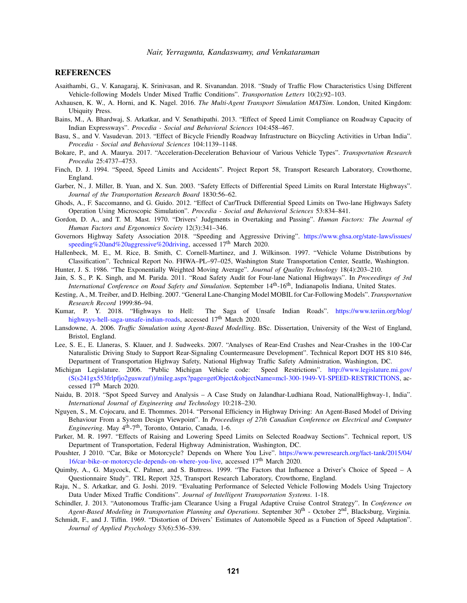#### **REFERENCES**

- <span id="page-10-7"></span>Asaithambi, G., V. Kanagaraj, K. Srinivasan, and R. Sivanandan. 2018. "Study of Traffic Flow Characteristics Using Different Vehicle-following Models Under Mixed Traffic Conditions". *Transportation Letters* 10(2):92–103.
- <span id="page-10-10"></span>Axhausen, K. W., A. Horni, and K. Nagel. 2016. *The Multi-Agent Transport Simulation MATSim*. London, United Kingdom: Ubiquity Press.
- <span id="page-10-23"></span>Bains, M., A. Bhardwaj, S. Arkatkar, and V. Senathipathi. 2013. "Effect of Speed Limit Compliance on Roadway Capacity of Indian Expressways". *Procedia - Social and Behavioral Sciences* 104:458–467.
- <span id="page-10-25"></span>Basu, S., and V. Vasudevan. 2013. "Effect of Bicycle Friendly Roadway Infrastructure on Bicycling Activities in Urban India". *Procedia - Social and Behavioral Sciences* 104:1139–1148.
- <span id="page-10-21"></span>Bokare, P., and A. Maurya. 2017. "Acceleration-Deceleration Behaviour of Various Vehicle Types". *Transportation Research Procedia* 25:4737–4753.
- <span id="page-10-1"></span>Finch, D. J. 1994. "Speed, Speed Limits and Accidents". Project Report 58, Transport Research Laboratory, Crowthorne, England.
- <span id="page-10-4"></span>Garber, N., J. Miller, B. Yuan, and X. Sun. 2003. "Safety Effects of Differential Speed Limits on Rural Interstate Highways". *Journal of the Transportation Research Board* 1830:56–62.
- <span id="page-10-5"></span>Ghods, A., F. Saccomanno, and G. Guido. 2012. "Effect of Car/Truck Differential Speed Limits on Two-lane Highways Safety Operation Using Microscopic Simulation". *Procedia - Social and Behavioral Sciences* 53:834–841.
- <span id="page-10-14"></span>Gordon, D. A., and T. M. Mast. 1970. "Drivers' Judgments in Overtaking and Passing". *Human Factors: The Journal of Human Factors and Ergonomics Society* 12(3):341–346.
- <span id="page-10-17"></span>Governors Highway Safety Association 2018. "Speeding and Aggressive Driving". [https://www.ghsa.org/state-laws/issues/](https://www.ghsa.org/state-laws/issues/speeding%20and%20aggressive%20driving) [speeding%20and%20aggressive%20driving,](https://www.ghsa.org/state-laws/issues/speeding%20and%20aggressive%20driving) accessed 17<sup>th</sup> March 2020.
- <span id="page-10-18"></span>Hallenbeck, M. E., M. Rice, B. Smith, C. Cornell-Martinez, and J. Wilkinson. 1997. "Vehicle Volume Distributions by Classification". Technical Report No. FHWA–PL–97–025, Washington State Transportation Center, Seattle, Washington.
- <span id="page-10-15"></span>Hunter, J. S. 1986. "The Exponentially Weighted Moving Average". *Journal of Quality Technology* 18(4):203–210.
- <span id="page-10-22"></span>Jain, S. S., P. K. Singh, and M. Parida. 2011. "Road Safety Audit for Four-lane National Highways". In *Proceedings of 3rd International Conference on Road Safety and Simulation*. September 14<sup>th</sup>-16<sup>th</sup>, Indianapolis Indiana, United States.
- <span id="page-10-12"></span>Kesting, A., M. Treiber, and D. Helbing. 2007. "General Lane-Changing Model MOBIL for Car-Following Models". *Transportation Research Record* 1999:86–94.
- <span id="page-10-3"></span>Kumar, P. Y. 2018. "Highways to Hell: The Saga of Unsafe Indian Roads". [https://www.teriin.org/blog/](https://www.teriin.org/blog/highways-hell-saga-unsafe-indian-roads) [highways-hell-saga-unsafe-indian-roads,](https://www.teriin.org/blog/highways-hell-saga-unsafe-indian-roads) accessed 17<sup>th</sup> March 2020.
- <span id="page-10-9"></span>Lansdowne, A. 2006. *Traffic Simulation using Agent-Based Modelling*. BSc. Dissertation, University of the West of England, Bristol, England.
- <span id="page-10-16"></span>Lee, S. E., E. Llaneras, S. Klauer, and J. Sudweeks. 2007. "Analyses of Rear-End Crashes and Near-Crashes in the 100-Car Naturalistic Driving Study to Support Rear-Signaling Countermeasure Development". Technical Report DOT HS 810 846, Department of Transportation Highway Safety, National Highway Traffic Safety Administration, Washington, DC.
- <span id="page-10-0"></span>Michigan Legislature. 2006. "Public Michigan Vehicle code: Speed Restrictions". [http://www.legislature.mi.gov/](http://www.legislature.mi.gov/(S(s241gx553frlpfjo2guswzuf))/mileg.aspx?page=getObject&objectName=mcl-300-1949-VI-SPEED-RESTRICTIONS) [\(S\(s241gx553frlpfjo2guswzuf\)\)/mileg.aspx?page=getObject&objectName=mcl-300-1949-VI-SPEED-RESTRICTIONS,](http://www.legislature.mi.gov/(S(s241gx553frlpfjo2guswzuf))/mileg.aspx?page=getObject&objectName=mcl-300-1949-VI-SPEED-RESTRICTIONS) accessed 17<sup>th</sup> March 2020.
- <span id="page-10-20"></span>Naidu, B. 2018. "Spot Speed Survey and Analysis – A Case Study on Jalandhar-Ludhiana Road, NationalHighway-1, India". *International Journal of Engineering and Technology* 10:218–230.
- <span id="page-10-8"></span>Nguyen, S., M. Cojocaru, and E. Thommes. 2014. "Personal Efficiency in Highway Driving: An Agent-Based Model of Driving Behaviour From a System Design Viewpoint". In *Proceedings of 27th Canadian Conference on Electrical and Computer Engineering*. May 4<sup>th</sup>-7<sup>th</sup>, Toronto, Ontario, Canada, 1-6.
- <span id="page-10-24"></span>Parker, M. R. 1997. "Effects of Raising and Lowering Speed Limits on Selected Roadway Sections". Technical report, US Department of Transportation, Federal Highway Administration, Washington, DC.
- <span id="page-10-19"></span>Poushter, J 2010. "Car, Bike or Motorcycle? Depends on Where You Live". [https://www.pewresearch.org/fact-tank/2015/04/](https://www.pewresearch.org/fact-tank/2015/04/16/car-bike-or-motorcycle-depends-on-where-you-live) [16/car-bike-or-motorcycle-depends-on-where-you-live,](https://www.pewresearch.org/fact-tank/2015/04/16/car-bike-or-motorcycle-depends-on-where-you-live) accessed 17th March 2020.
- <span id="page-10-2"></span>Quimby, A., G. Maycock, C. Palmer, and S. Buttress. 1999. "The Factors that Influence a Driver's Choice of Speed – A Questionnaire Study". TRL Report 325, Transport Research Laboratory, Crowthorne, England.
- <span id="page-10-6"></span>Raju, N., S. Arkatkar, and G. Joshi. 2019. "Evaluating Performance of Selected Vehicle Following Models Using Trajectory Data Under Mixed Traffic Conditions". *Journal of Intelligent Transportation Systems*. 1-18.
- <span id="page-10-11"></span>Schindler, J. 2013. "Autonomous Traffic-jam Clearance Using a Frugal Adaptive Cruise Control Strategy". In *Conference on Agent-Based Modeling in Transportation Planning and Operations*. September 30th - October 2nd, Blacksburg, Virginia.
- <span id="page-10-13"></span>Schmidt, F., and J. Tiffin. 1969. "Distortion of Drivers' Estimates of Automobile Speed as a Function of Speed Adaptation". *Journal of Applied Psychology* 53(6):536–539.